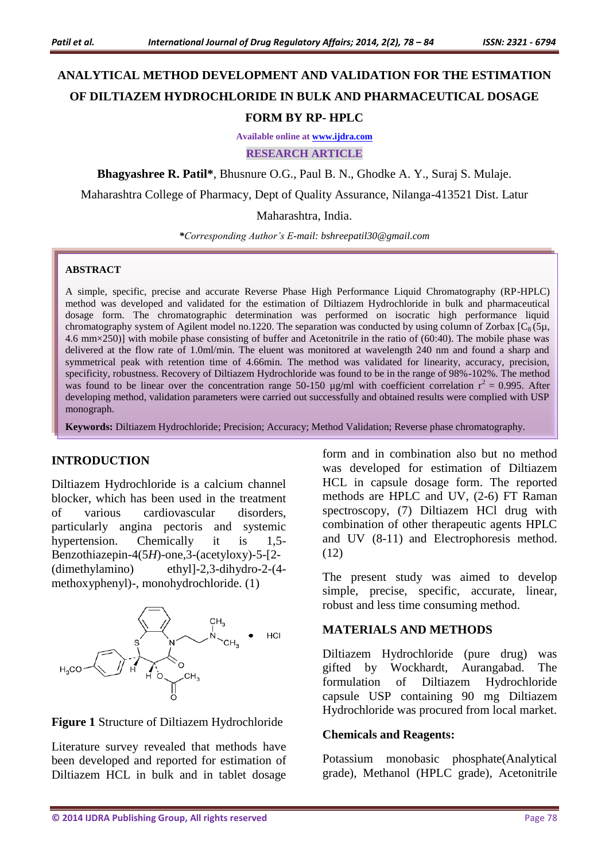# **ANALYTICAL METHOD DEVELOPMENT AND VALIDATION FOR THE ESTIMATION OF DILTIAZEM HYDROCHLORIDE IN BULK AND PHARMACEUTICAL DOSAGE FORM BY RP- HPLC**

**Available online at [www.ijdra.com](http://www.ijdra.com/)**

**RESEARCH ARTICLE**

**Bhagyashree R. Patil\***, Bhusnure O.G., Paul B. N., Ghodke A. Y., Suraj S. Mulaje.

Maharashtra College of Pharmacy, Dept of Quality Assurance, Nilanga-413521 Dist. Latur

Maharashtra, India.

*\*Corresponding Author's E-mail: bshreepatil30@gmail.com*

#### **ABSTRACT**

A simple, specific, precise and accurate Reverse Phase High Performance Liquid Chromatography (RP-HPLC) method was developed and validated for the estimation of Diltiazem Hydrochloride in bulk and pharmaceutical dosage form. The chromatographic determination was performed on isocratic high performance liquid chromatography system of Agilent model no.1220. The separation was conducted by using column of Zorbax  $[C_8(5\mu,$ 4.6 mm×250)] with mobile phase consisting of buffer and Acetonitrile in the ratio of (60:40). The mobile phase was delivered at the flow rate of 1.0ml/min. The eluent was monitored at wavelength 240 nm and found a sharp and symmetrical peak with retention time of 4.66min. The method was validated for linearity, accuracy, precision, specificity, robustness. Recovery of Diltiazem Hydrochloride was found to be in the range of 98%-102%. The method was found to be linear over the concentration range 50-150  $\mu$ g/ml with coefficient correlation  $r^2 = 0.995$ . After developing method, validation parameters were carried out successfully and obtained results were complied with USP monograph.

**Keywords:** Diltiazem Hydrochloride; Precision; Accuracy; Method Validation; Reverse phase chromatography.

#### **INTRODUCTION**

Diltiazem Hydrochloride is a calcium channel blocker, which has been used in the treatment of various cardiovascular disorders, particularly angina pectoris and systemic hypertension. Chemically it is 1,5- Benzothiazepin-4(5*H*)-one,3-(acetyloxy)-5-[2- (dimethylamino) ethyl]-2,3-dihydro-2-(4 methoxyphenyl)-, monohydrochloride. (1)





Literature survey revealed that methods have been developed and reported for estimation of Diltiazem HCL in bulk and in tablet dosage form and in combination also but no method was developed for estimation of Diltiazem HCL in capsule dosage form. The reported methods are HPLC and UV, (2-6) FT Raman spectroscopy, (7) Diltiazem HCl drug with combination of other therapeutic agents HPLC and UV (8-11) and Electrophoresis method. (12)

The present study was aimed to develop simple, precise, specific, accurate, linear, robust and less time consuming method.

#### **MATERIALS AND METHODS**

Diltiazem Hydrochloride (pure drug) was gifted by Wockhardt, Aurangabad. The formulation of Diltiazem Hydrochloride capsule USP containing 90 mg Diltiazem Hydrochloride was procured from local market.

#### **Chemicals and Reagents:**

Potassium monobasic phosphate(Analytical grade), Methanol (HPLC grade), Acetonitrile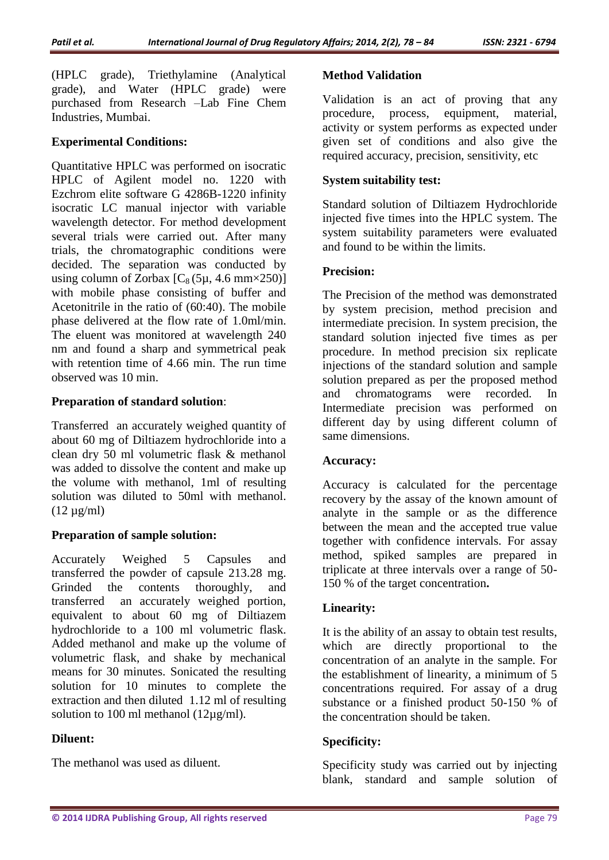(HPLC grade), Triethylamine (Analytical grade), and Water (HPLC grade) were purchased from Research –Lab Fine Chem Industries, Mumbai.

### **Experimental Conditions:**

Quantitative HPLC was performed on isocratic HPLC of Agilent model no. 1220 with Ezchrom elite software G 4286B-1220 infinity isocratic LC manual injector with variable wavelength detector. For method development several trials were carried out. After many trials, the chromatographic conditions were decided. The separation was conducted by using column of Zorbax  $[C_8(5\mu, 4.6 \text{ mm} \times 250)]$ with mobile phase consisting of buffer and Acetonitrile in the ratio of (60:40). The mobile phase delivered at the flow rate of 1.0ml/min. The eluent was monitored at wavelength 240 nm and found a sharp and symmetrical peak with retention time of 4.66 min. The run time observed was 10 min.

### **Preparation of standard solution**:

Transferred an accurately weighed quantity of about 60 mg of Diltiazem hydrochloride into a clean dry 50 ml volumetric flask & methanol was added to dissolve the content and make up the volume with methanol, 1ml of resulting solution was diluted to 50ml with methanol.  $(12 \text{ µg/ml})$ 

# **Preparation of sample solution:**

Accurately Weighed 5 Capsules and transferred the powder of capsule 213.28 mg. Grinded the contents thoroughly, and transferred an accurately weighed portion, equivalent to about 60 mg of Diltiazem hydrochloride to a 100 ml volumetric flask. Added methanol and make up the volume of volumetric flask, and shake by mechanical means for 30 minutes. Sonicated the resulting solution for 10 minutes to complete the extraction and then diluted 1.12 ml of resulting solution to 100 ml methanol (12µg/ml).

### **Diluent:**

The methanol was used as diluent.

### **Method Validation**

Validation is an act of proving that any procedure, process, equipment, material, activity or system performs as expected under given set of conditions and also give the required accuracy, precision, sensitivity, etc

### **System suitability test:**

Standard solution of Diltiazem Hydrochloride injected five times into the HPLC system. The system suitability parameters were evaluated and found to be within the limits.

### **Precision:**

The Precision of the method was demonstrated by system precision, method precision and intermediate precision. In system precision, the standard solution injected five times as per procedure. In method precision six replicate injections of the standard solution and sample solution prepared as per the proposed method and chromatograms were recorded. In Intermediate precision was performed on different day by using different column of same dimensions.

### **Accuracy:**

Accuracy is calculated for the percentage recovery by the assay of the known amount of analyte in the sample or as the difference between the mean and the accepted true value together with confidence intervals. For assay method, spiked samples are prepared in triplicate at three intervals over a range of 50- 150 % of the target concentration**.**

# **Linearity:**

It is the ability of an assay to obtain test results, which are directly proportional to the concentration of an analyte in the sample. For the establishment of linearity, a minimum of 5 concentrations required. For assay of a drug substance or a finished product 50-150 % of the concentration should be taken.

### **Specificity:**

Specificity study was carried out by injecting blank, standard and sample solution of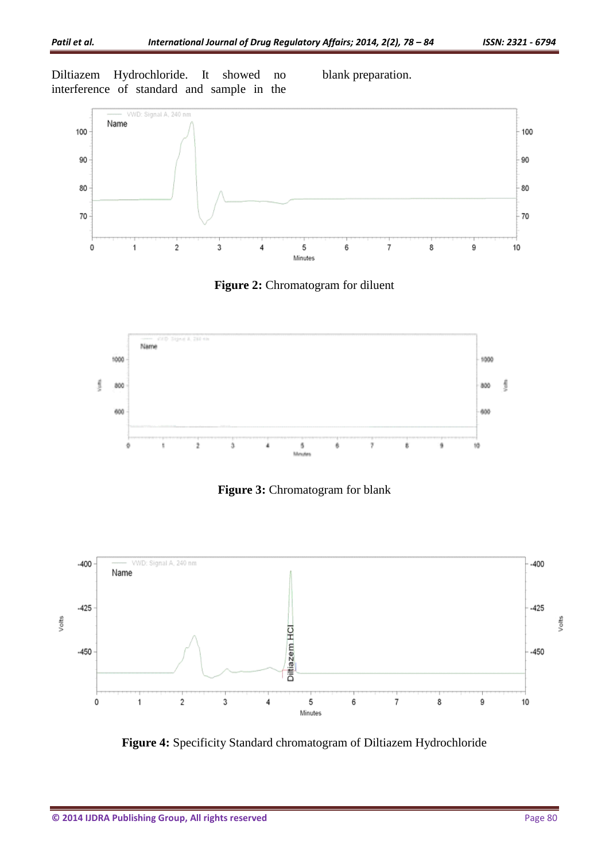Diltiazem Hydrochloride. It showed no interference of standard and sample in the

blank preparation.



**Figure 2:** Chromatogram for diluent







**Figure 4:** Specificity Standard chromatogram of Diltiazem Hydrochloride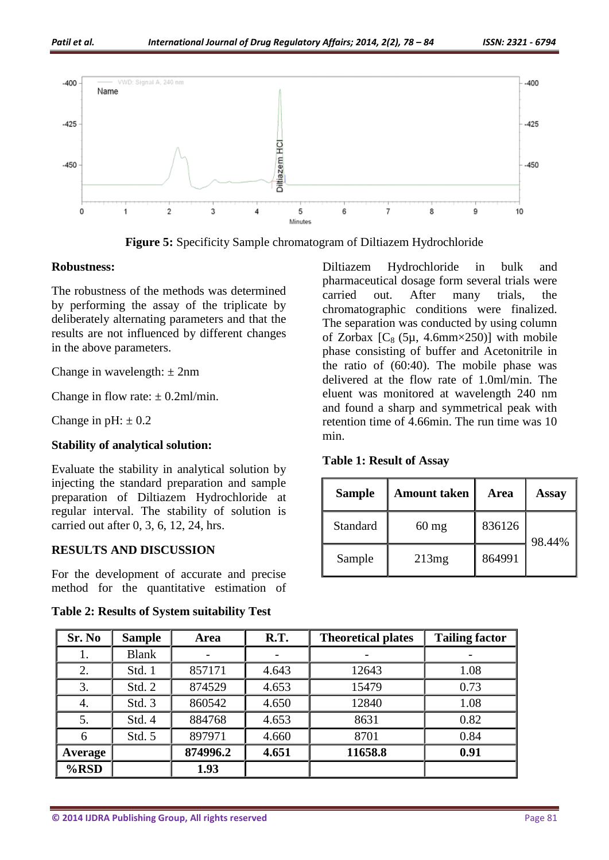

**Figure 5:** Specificity Sample chromatogram of Diltiazem Hydrochloride

#### **Robustness:**

The robustness of the methods was determined by performing the assay of the triplicate by deliberately alternating parameters and that the results are not influenced by different changes in the above parameters.

Change in wavelength:  $\pm 2$ nm

Change in flow rate:  $\pm$  0.2ml/min.

Change in  $pH: \pm 0.2$ 

### **Stability of analytical solution:**

Evaluate the stability in analytical solution by injecting the standard preparation and sample preparation of Diltiazem Hydrochloride at regular interval. The stability of solution is carried out after 0, 3, 6, 12, 24, hrs.

### **RESULTS AND DISCUSSION**

For the development of accurate and precise method for the quantitative estimation of

**Table 2: Results of System suitability Test**

Diltiazem Hydrochloride in bulk and pharmaceutical dosage form several trials were carried out. After many trials, the chromatographic conditions were finalized. The separation was conducted by using column of Zorbax  $[C_8 (5\mu, 4.6\text{mm} \times 250)]$  with mobile phase consisting of buffer and Acetonitrile in the ratio of (60:40). The mobile phase was delivered at the flow rate of 1.0ml/min. The eluent was monitored at wavelength 240 nm and found a sharp and symmetrical peak with retention time of 4.66min. The run time was 10 min.

|  |  | <b>Table 1: Result of Assay</b> |  |  |
|--|--|---------------------------------|--|--|
|--|--|---------------------------------|--|--|

| <b>Sample</b> | <b>Amount taken</b> | Area   | Assay  |
|---------------|---------------------|--------|--------|
| Standard      | $60$ mg             | 836126 | 98.44% |
| Sample        | 213mg               | 864991 |        |

| Sr. No         | <b>Sample</b> | Area     | R.T.  | <b>Theoretical plates</b> | <b>Tailing factor</b> |
|----------------|---------------|----------|-------|---------------------------|-----------------------|
| 1.             | <b>Blank</b>  |          |       |                           |                       |
| 2.             | Std. 1        | 857171   | 4.643 | 12643                     | 1.08                  |
| 3.             | Std. 2        | 874529   | 4.653 | 15479                     | 0.73                  |
| 4.             | Std. 3        | 860542   | 4.650 | 12840                     | 1.08                  |
| 5.             | Std. 4        | 884768   | 4.653 | 8631                      | 0.82                  |
| 6              | Std. 5        | 897971   | 4.660 | 8701                      | 0.84                  |
| <b>Average</b> |               | 874996.2 | 4.651 | 11658.8                   | 0.91                  |
| $%$ RSD        |               | 1.93     |       |                           |                       |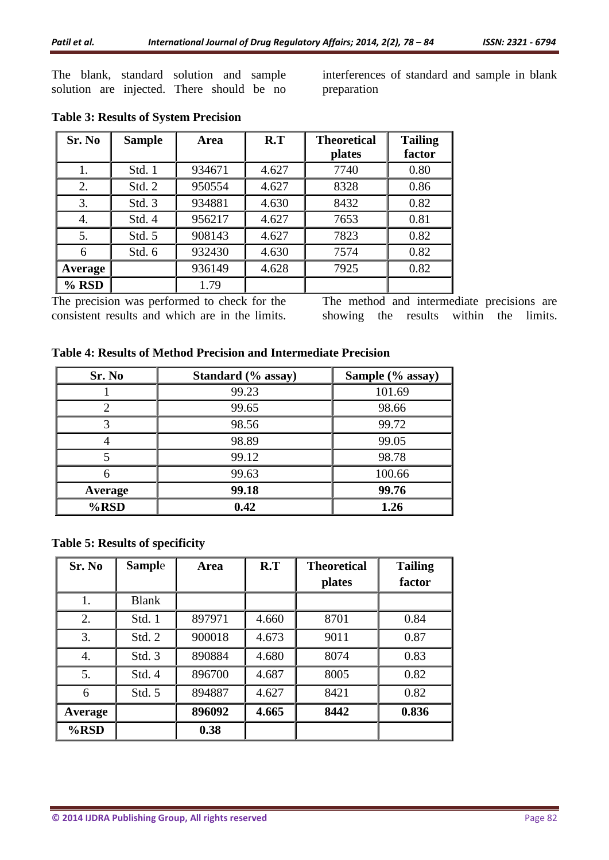The blank, standard solution and sample solution are injected. There should be no

interferences of standard and sample in blank preparation

| Sr. No  | <b>Sample</b> | <b>Area</b> | R.T   | <b>Theoretical</b> | <b>Tailing</b> |
|---------|---------------|-------------|-------|--------------------|----------------|
|         |               |             |       | <b>plates</b>      | factor         |
| 1.      | Std. 1        | 934671      | 4.627 | 7740               | 0.80           |
| 2.      | Std. 2        | 950554      | 4.627 | 8328               | 0.86           |
| 3.      | Std. 3        | 934881      | 4.630 | 8432               | 0.82           |
| 4.      | Std. 4        | 956217      | 4.627 | 7653               | 0.81           |
| 5.      | Std. 5        | 908143      | 4.627 | 7823               | 0.82           |
| 6       | Std. 6        | 932430      | 4.630 | 7574               | 0.82           |
| Average |               | 936149      | 4.628 | 7925               | 0.82           |
| $%$ RSD |               | 1.79        |       |                    |                |

# **Table 3: Results of System Precision**

The precision was performed to check for the consistent results and which are in the limits. The method and intermediate precisions are showing the results within the limits.

|  |  | Table 4: Results of Method Precision and Intermediate Precision |
|--|--|-----------------------------------------------------------------|
|--|--|-----------------------------------------------------------------|

| Sr. No  | Standard (% assay) | Sample (% assay) |
|---------|--------------------|------------------|
|         | 99.23              | 101.69           |
|         | 99.65              | 98.66            |
|         | 98.56              | 99.72            |
|         | 98.89              | 99.05            |
|         | 99.12              | 98.78            |
| 6       | 99.63              | 100.66           |
| Average | 99.18              | 99.76            |
| $%$ RSD | 0.42               | 1.26             |

### **Table 5: Results of specificity**

| Sr. No  | <b>Sample</b> | Area   | R.T   | <b>Theoretical</b> | <b>Tailing</b> |
|---------|---------------|--------|-------|--------------------|----------------|
|         |               |        |       | plates             | factor         |
| 1.      | <b>Blank</b>  |        |       |                    |                |
| 2.      | Std. 1        | 897971 | 4.660 | 8701               | 0.84           |
| 3.      | Std. 2        | 900018 | 4.673 | 9011               | 0.87           |
| 4.      | Std. 3        | 890884 | 4.680 | 8074               | 0.83           |
| 5.      | Std. 4        | 896700 | 4.687 | 8005               | 0.82           |
| 6       | Std. 5        | 894887 | 4.627 | 8421               | 0.82           |
| Average |               | 896092 | 4.665 | 8442               | 0.836          |
| $%$ RSD |               | 0.38   |       |                    |                |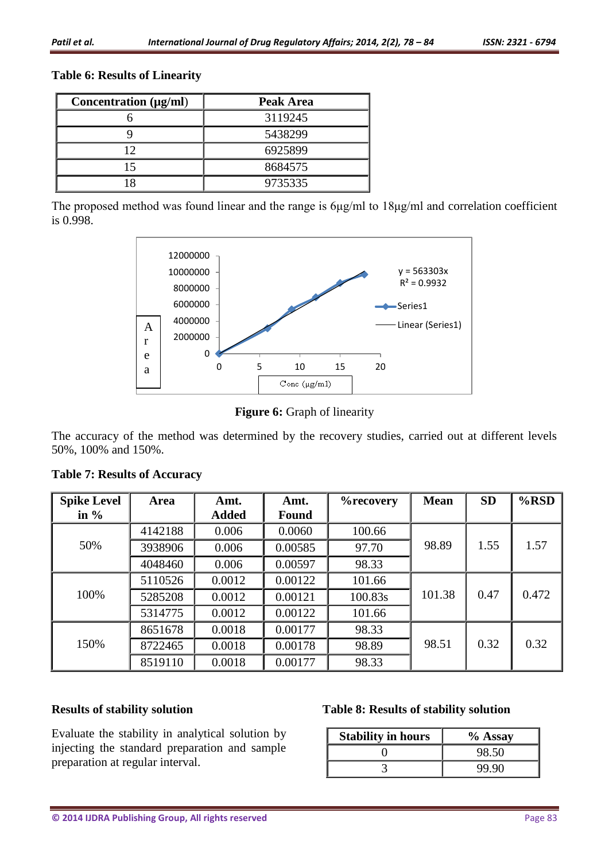# **Table 6: Results of Linearity**

| Concentration $(\mu g/ml)$ | Peak Area |
|----------------------------|-----------|
|                            | 3119245   |
|                            | 5438299   |
| $\overline{12}$            | 6925899   |
| 15                         | 8684575   |
|                            | 9735335   |

The proposed method was found linear and the range is 6μg/ml to 18μg/ml and correlation coefficient is 0.998.



**Figure 6:** Graph of linearity

The accuracy of the method was determined by the recovery studies, carried out at different levels 50%, 100% and 150%.

| <b>Spike Level</b> | Area    | Amt.         | Amt.         | %recovery | <b>Mean</b> | <b>SD</b> | $%$ RSD |
|--------------------|---------|--------------|--------------|-----------|-------------|-----------|---------|
| in $\%$            |         | <b>Added</b> | <b>Found</b> |           |             |           |         |
|                    | 4142188 | 0.006        | 0.0060       | 100.66    |             |           |         |
| 50%                | 3938906 | 0.006        | 0.00585      | 97.70     | 98.89       | 1.55      | 1.57    |
|                    | 4048460 | 0.006        | 0.00597      | 98.33     |             |           |         |
|                    | 5110526 | 0.0012       | 0.00122      | 101.66    |             |           |         |
| 100%               | 5285208 | 0.0012       | 0.00121      | 100.83s   | 101.38      | 0.47      | 0.472   |
|                    | 5314775 | 0.0012       | 0.00122      | 101.66    |             |           |         |
|                    | 8651678 | 0.0018       | 0.00177      | 98.33     |             |           |         |
| 150%               | 8722465 | 0.0018       | 0.00178      | 98.89     | 98.51       | 0.32      | 0.32    |
|                    | 8519110 | 0.0018       | 0.00177      | 98.33     |             |           |         |

# **Table 7: Results of Accuracy**

### **Results of stability solution**

Evaluate the stability in analytical solution by injecting the standard preparation and sample preparation at regular interval.

### **Table 8: Results of stability solution**

| <b>Stability in hours</b> | $%$ Assay |
|---------------------------|-----------|
|                           | 98.50     |
|                           | 99.90     |